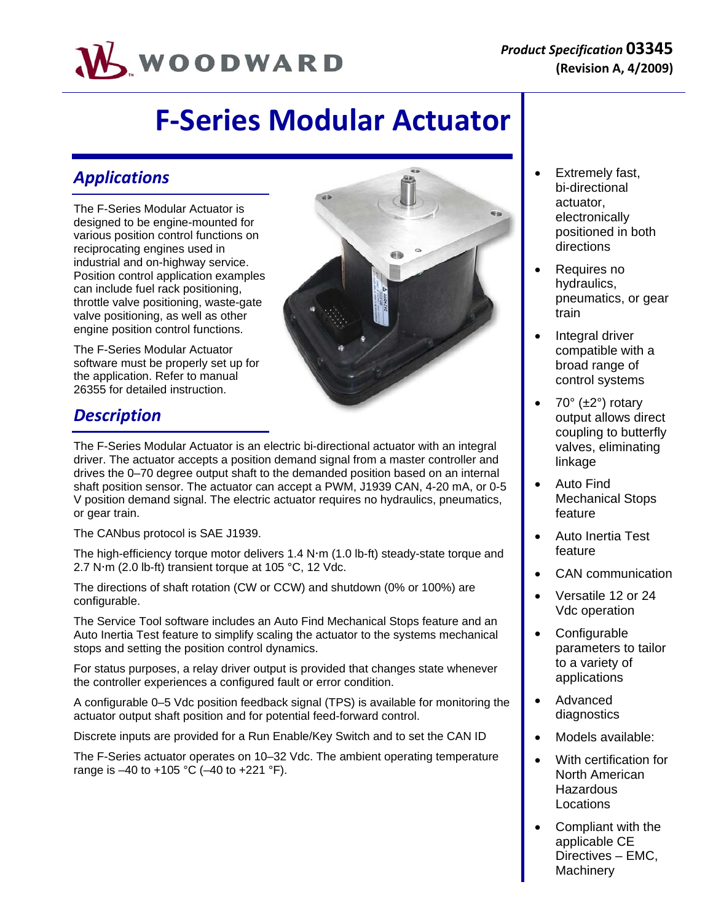

# **F‐Series Modular Actuator**

### *Applications*

The F-Series Modular Actuator is designed to be engine-mounted for various position control functions on reciprocating engines used in industrial and on-highway service. Position control application examples can include fuel rack positioning, throttle valve positioning, waste-gate valve positioning, as well as other engine position control functions.

The F-Series Modular Actuator software must be properly set up for the application. Refer to manual 26355 for detailed instruction.



The F-Series Modular Actuator is an electric bi-directional actuator with an integral driver. The actuator accepts a position demand signal from a master controller and drives the 0–70 degree output shaft to the demanded position based on an internal shaft position sensor. The actuator can accept a PWM, J1939 CAN, 4-20 mA, or 0-5 V position demand signal. The electric actuator requires no hydraulics, pneumatics, or gear train.

The CANbus protocol is SAE J1939.

The high-efficiency torque motor delivers  $1.4$  N $\cdot$ m ( $1.0$  lb-ft) steady-state torque and 2.7 N $\cdot$ m (2.0 lb-ft) transient torque at 105 °C, 12 Vdc.

The directions of shaft rotation (CW or CCW) and shutdown (0% or 100%) are configurable.

The Service Tool software includes an Auto Find Mechanical Stops feature and an Auto Inertia Test feature to simplify scaling the actuator to the systems mechanical stops and setting the position control dynamics.

For status purposes, a relay driver output is provided that changes state whenever the controller experiences a configured fault or error condition.

A configurable 0–5 Vdc position feedback signal (TPS) is available for monitoring the actuator output shaft position and for potential feed-forward control.

Discrete inputs are provided for a Run Enable/Key Switch and to set the CAN ID

The F-Series actuator operates on 10–32 Vdc. The ambient operating temperature range is  $-40$  to  $+105$  °C ( $-40$  to  $+221$  °F).

- Extremely fast, bi-directional actuator, electronically positioned in both directions Requires no
	- hydraulics, pneumatics, or gear train
	- Integral driver compatible with a broad range of control systems
	- 70° (±2°) rotary output allows direct coupling to butterfly valves, eliminating linkage
	- Auto Find Mechanical Stops feature
	- Auto Inertia Test feature
	- CAN communication
	- Versatile 12 or 24 Vdc operation
	- Configurable parameters to tailor to a variety of applications
	- Advanced diagnostics
	- Models available:
	- With certification for North American **Hazardous Locations**
	- Compliant with the applicable CE Directives – EMC, **Machinery**

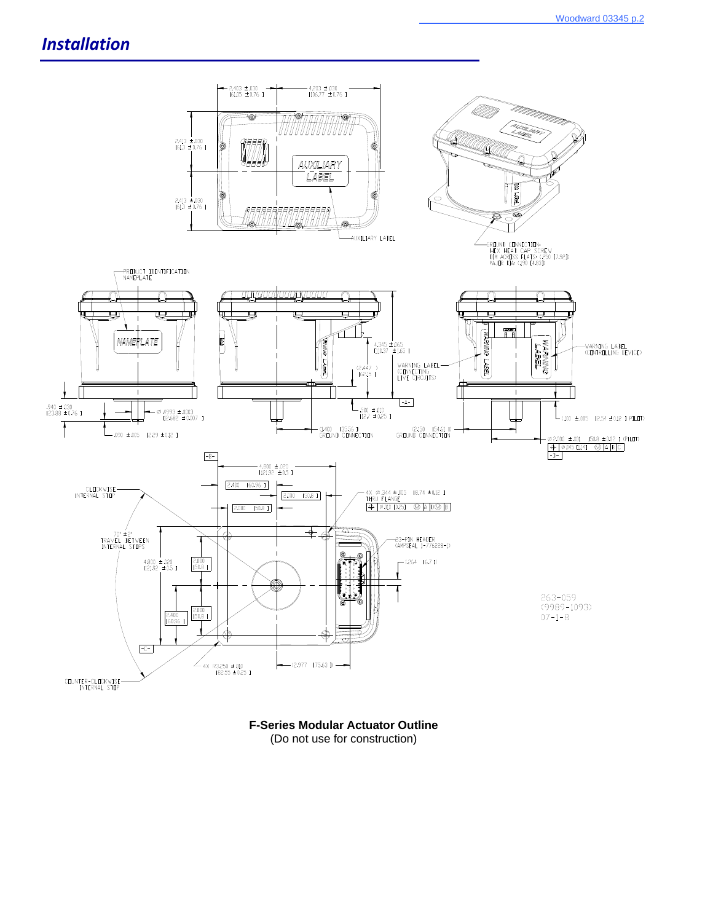### *Installation*



**F-Series Modular Actuator Outline**  (Do not use for construction)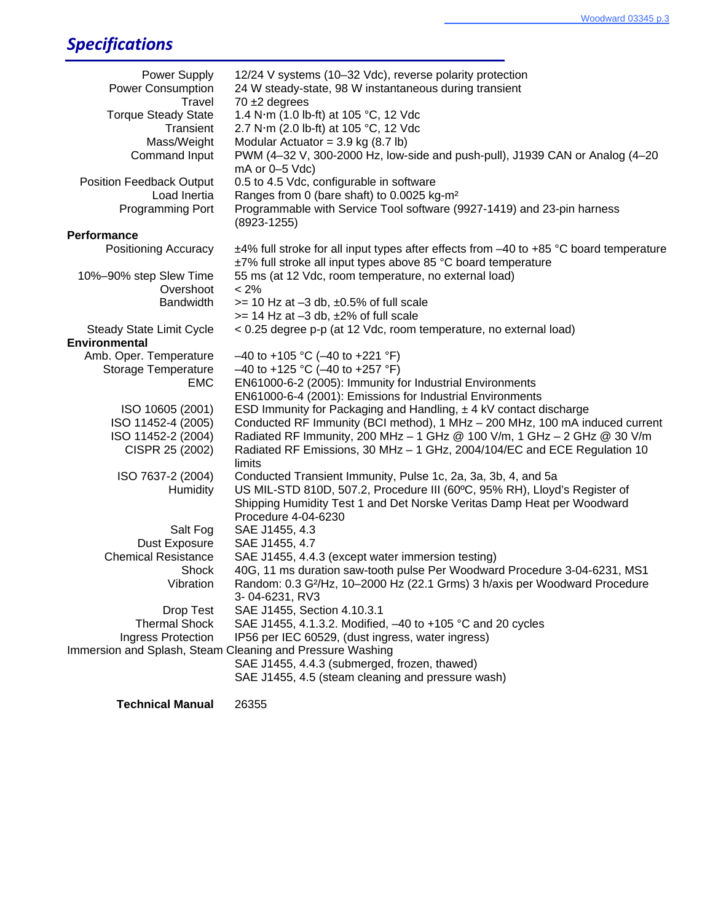## *Specifications*

| Power Supply<br><b>Power Consumption</b>                  | 12/24 V systems (10-32 Vdc), reverse polarity protection<br>24 W steady-state, 98 W instantaneous during transient                                             |  |  |
|-----------------------------------------------------------|----------------------------------------------------------------------------------------------------------------------------------------------------------------|--|--|
| Travel<br><b>Torque Steady State</b><br>Transient         | $70 \pm 2$ degrees<br>1.4 N·m (1.0 lb-ft) at 105 °C, 12 Vdc<br>2.7 N·m (2.0 lb-ft) at 105 °C, 12 Vdc                                                           |  |  |
| Mass/Weight                                               | Modular Actuator = $3.9$ kg (8.7 lb)                                                                                                                           |  |  |
| Command Input                                             | PWM (4-32 V, 300-2000 Hz, low-side and push-pull), J1939 CAN or Analog (4-20<br>$mA$ or $0-5$ Vdc)                                                             |  |  |
| <b>Position Feedback Output</b>                           | 0.5 to 4.5 Vdc, configurable in software                                                                                                                       |  |  |
| Load Inertia                                              | Ranges from 0 (bare shaft) to 0.0025 kg-m <sup>2</sup>                                                                                                         |  |  |
| Programming Port                                          | Programmable with Service Tool software (9927-1419) and 23-pin harness<br>$(8923 - 1255)$                                                                      |  |  |
| <b>Performance</b>                                        |                                                                                                                                                                |  |  |
| <b>Positioning Accuracy</b>                               | $±4\%$ full stroke for all input types after effects from $-40$ to $+85$ °C board temperature<br>±7% full stroke all input types above 85 °C board temperature |  |  |
| 10%-90% step Slew Time                                    | 55 ms (at 12 Vdc, room temperature, no external load)                                                                                                          |  |  |
| Overshoot                                                 | $< 2\%$                                                                                                                                                        |  |  |
| <b>Bandwidth</b>                                          | $>= 10$ Hz at $-3$ db, $\pm 0.5$ % of full scale                                                                                                               |  |  |
|                                                           | $>= 14$ Hz at $-3$ db, $\pm 2\%$ of full scale                                                                                                                 |  |  |
| <b>Steady State Limit Cycle</b>                           | < 0.25 degree p-p (at 12 Vdc, room temperature, no external load)                                                                                              |  |  |
| <b>Environmental</b>                                      |                                                                                                                                                                |  |  |
| Amb. Oper. Temperature                                    | $-40$ to +105 °C (-40 to +221 °F)                                                                                                                              |  |  |
| <b>Storage Temperature</b>                                | $-40$ to +125 °C (-40 to +257 °F)                                                                                                                              |  |  |
| <b>EMC</b>                                                | EN61000-6-2 (2005): Immunity for Industrial Environments                                                                                                       |  |  |
|                                                           | EN61000-6-4 (2001): Emissions for Industrial Environments<br>ESD Immunity for Packaging and Handling, $\pm$ 4 kV contact discharge                             |  |  |
| ISO 10605 (2001)<br>ISO 11452-4 (2005)                    | Conducted RF Immunity (BCI method), 1 MHz - 200 MHz, 100 mA induced current                                                                                    |  |  |
| ISO 11452-2 (2004)                                        | Radiated RF Immunity, 200 MHz - 1 GHz @ 100 V/m, 1 GHz - 2 GHz @ 30 V/m                                                                                        |  |  |
| CISPR 25 (2002)                                           | Radiated RF Emissions, 30 MHz - 1 GHz, 2004/104/EC and ECE Regulation 10                                                                                       |  |  |
|                                                           | limits                                                                                                                                                         |  |  |
| ISO 7637-2 (2004)                                         | Conducted Transient Immunity, Pulse 1c, 2a, 3a, 3b, 4, and 5a                                                                                                  |  |  |
| <b>Humidity</b>                                           | US MIL-STD 810D, 507.2, Procedure III (60°C, 95% RH), Lloyd's Register of                                                                                      |  |  |
|                                                           | Shipping Humidity Test 1 and Det Norske Veritas Damp Heat per Woodward                                                                                         |  |  |
|                                                           | Procedure 4-04-6230                                                                                                                                            |  |  |
| Salt Fog                                                  | SAE J1455, 4.3                                                                                                                                                 |  |  |
| Dust Exposure                                             | SAE J1455, 4.7                                                                                                                                                 |  |  |
| <b>Chemical Resistance</b>                                | SAE J1455, 4.4.3 (except water immersion testing)                                                                                                              |  |  |
| Shock                                                     | 40G, 11 ms duration saw-tooth pulse Per Woodward Procedure 3-04-6231, MS1                                                                                      |  |  |
| Vibration                                                 | Random: 0.3 G <sup>2</sup> /Hz, 10-2000 Hz (22.1 Grms) 3 h/axis per Woodward Procedure                                                                         |  |  |
|                                                           | 3-04-6231, RV3                                                                                                                                                 |  |  |
| Drop Test                                                 | SAE J1455, Section 4.10.3.1                                                                                                                                    |  |  |
| <b>Thermal Shock</b>                                      | SAE J1455, 4.1.3.2. Modified, -40 to +105 °C and 20 cycles                                                                                                     |  |  |
| Ingress Protection                                        | IP56 per IEC 60529, (dust ingress, water ingress)                                                                                                              |  |  |
| Immersion and Splash, Steam Cleaning and Pressure Washing |                                                                                                                                                                |  |  |
|                                                           | SAE J1455, 4.4.3 (submerged, frozen, thawed)                                                                                                                   |  |  |
|                                                           | SAE J1455, 4.5 (steam cleaning and pressure wash)                                                                                                              |  |  |
| <b>Technical Manual</b>                                   | 26355                                                                                                                                                          |  |  |